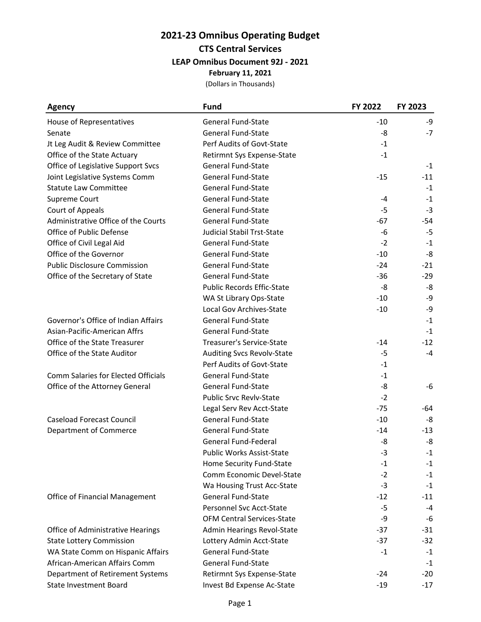| <b>Agency</b>                       | <b>Fund</b>                       | FY 2022 | FY 2023 |
|-------------------------------------|-----------------------------------|---------|---------|
| House of Representatives            | <b>General Fund-State</b>         | $-10$   | -9      |
| Senate                              | <b>General Fund-State</b>         | -8      | $-7$    |
| Jt Leg Audit & Review Committee     | Perf Audits of Govt-State         | $-1$    |         |
| Office of the State Actuary         | Retirmnt Sys Expense-State        | $-1$    |         |
| Office of Legislative Support Svcs  | <b>General Fund-State</b>         |         | $-1$    |
| Joint Legislative Systems Comm      | <b>General Fund-State</b>         | $-15$   | $-11$   |
| <b>Statute Law Committee</b>        | <b>General Fund-State</b>         |         | $-1$    |
| Supreme Court                       | <b>General Fund-State</b>         | -4      | $-1$    |
| Court of Appeals                    | <b>General Fund-State</b>         | $-5$    | $-3$    |
| Administrative Office of the Courts | <b>General Fund-State</b>         | $-67$   | -54     |
| Office of Public Defense            | <b>Judicial Stabil Trst-State</b> | $-6$    | $-5$    |
| Office of Civil Legal Aid           | <b>General Fund-State</b>         | $-2$    | $-1$    |
| Office of the Governor              | <b>General Fund-State</b>         | $-10$   | -8      |
| <b>Public Disclosure Commission</b> | <b>General Fund-State</b>         | $-24$   | $-21$   |
| Office of the Secretary of State    | <b>General Fund-State</b>         | $-36$   | $-29$   |
|                                     | <b>Public Records Effic-State</b> | -8      | -8      |
|                                     | WA St Library Ops-State           | $-10$   | -9      |
|                                     | Local Gov Archives-State          | $-10$   | -9      |
| Governor's Office of Indian Affairs | <b>General Fund-State</b>         |         | $-1$    |
| Asian-Pacific-American Affrs        | <b>General Fund-State</b>         |         | $-1$    |
| Office of the State Treasurer       | Treasurer's Service-State         | $-14$   | $-12$   |
| Office of the State Auditor         | Auditing Svcs Revolv-State        | $-5$    | $-4$    |
|                                     | Perf Audits of Govt-State         | $-1$    |         |
| Comm Salaries for Elected Officials | General Fund-State                | $-1$    |         |
| Office of the Attorney General      | <b>General Fund-State</b>         | -8      | -6      |
|                                     | Public Srvc Revlv-State           | $-2$    |         |
|                                     | Legal Serv Rev Acct-State         | $-75$   | -64     |
| <b>Caseload Forecast Council</b>    | <b>General Fund-State</b>         | $-10$   | -8      |
| Department of Commerce              | <b>General Fund-State</b>         | $-14$   | $-13$   |
|                                     | <b>General Fund-Federal</b>       | -8      | -8      |
|                                     | Public Works Assist-State         | $-3$    | $-1$    |
|                                     | Home Security Fund-State          | -1      | $-1$    |
|                                     | Comm Economic Devel-State         | $-2$    | $-1$    |
|                                     | Wa Housing Trust Acc-State        | $-3$    | $-1$    |
| Office of Financial Management      | <b>General Fund-State</b>         | $-12$   | $-11$   |
|                                     | Personnel Svc Acct-State          | -5      | -4      |
|                                     | <b>OFM Central Services-State</b> | -9      | -6      |
| Office of Administrative Hearings   | Admin Hearings Revol-State        | $-37$   | $-31$   |
| <b>State Lottery Commission</b>     | Lottery Admin Acct-State          | $-37$   | $-32$   |
| WA State Comm on Hispanic Affairs   | General Fund-State                | $-1$    | $-1$    |
| African-American Affairs Comm       | <b>General Fund-State</b>         |         | $-1$    |
| Department of Retirement Systems    | Retirmnt Sys Expense-State        | $-24$   | $-20$   |
| <b>State Investment Board</b>       | Invest Bd Expense Ac-State        | $-19$   | $-17$   |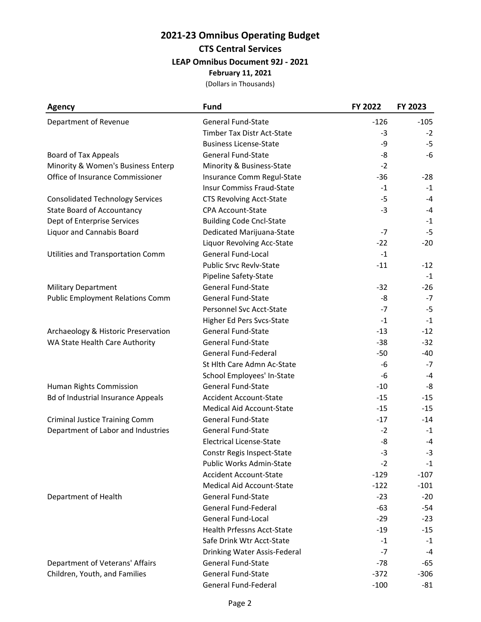| <b>Agency</b>                             | <b>Fund</b>                       | FY 2022 | FY 2023 |
|-------------------------------------------|-----------------------------------|---------|---------|
| Department of Revenue                     | <b>General Fund-State</b>         | $-126$  | $-105$  |
|                                           | Timber Tax Distr Act-State        | $-3$    | $-2$    |
|                                           | <b>Business License-State</b>     | -9      | $-5$    |
| <b>Board of Tax Appeals</b>               | General Fund-State                | -8      | -6      |
| Minority & Women's Business Enterp        | Minority & Business-State         | $-2$    |         |
| Office of Insurance Commissioner          | Insurance Comm Regul-State        | $-36$   | $-28$   |
|                                           | <b>Insur Commiss Fraud-State</b>  | $-1$    | $-1$    |
| <b>Consolidated Technology Services</b>   | <b>CTS Revolving Acct-State</b>   | $-5$    | $-4$    |
| <b>State Board of Accountancy</b>         | <b>CPA Account-State</b>          | $-3$    | $-4$    |
| Dept of Enterprise Services               | <b>Building Code Cncl-State</b>   |         | $-1$    |
| Liquor and Cannabis Board                 | Dedicated Marijuana-State         | $-7$    | $-5$    |
|                                           | Liquor Revolving Acc-State        | $-22$   | $-20$   |
| Utilities and Transportation Comm         | <b>General Fund-Local</b>         | $-1$    |         |
|                                           | <b>Public Srvc Revlv-State</b>    | $-11$   | $-12$   |
|                                           | Pipeline Safety-State             |         | $-1$    |
| <b>Military Department</b>                | <b>General Fund-State</b>         | $-32$   | $-26$   |
| <b>Public Employment Relations Comm</b>   | <b>General Fund-State</b>         | -8      | $-7$    |
|                                           | Personnel Svc Acct-State          | $-7$    | $-5$    |
|                                           | Higher Ed Pers Svcs-State         | $-1$    | $-1$    |
| Archaeology & Historic Preservation       | <b>General Fund-State</b>         | $-13$   | $-12$   |
| WA State Health Care Authority            | <b>General Fund-State</b>         | $-38$   | $-32$   |
|                                           | General Fund-Federal              | $-50$   | $-40$   |
|                                           | St Hlth Care Admn Ac-State        | -6      | $-7$    |
|                                           | School Employees' In-State        | $-6$    | $-4$    |
| Human Rights Commission                   | <b>General Fund-State</b>         | $-10$   | -8      |
| <b>Bd of Industrial Insurance Appeals</b> | <b>Accident Account-State</b>     | $-15$   | $-15$   |
|                                           | <b>Medical Aid Account-State</b>  | $-15$   | $-15$   |
| <b>Criminal Justice Training Comm</b>     | General Fund-State                | $-17$   | $-14$   |
| Department of Labor and Industries        | <b>General Fund-State</b>         | $-2$    | $-1$    |
|                                           | <b>Electrical License-State</b>   | -8      | $-4$    |
|                                           | Constr Regis Inspect-State        | $-3$    | $-3$    |
|                                           | Public Works Admin-State          | $-2$    | $-1$    |
|                                           | <b>Accident Account-State</b>     | $-129$  | $-107$  |
|                                           | Medical Aid Account-State         | $-122$  | $-101$  |
| Department of Health                      | <b>General Fund-State</b>         | $-23$   | $-20$   |
|                                           | General Fund-Federal              | $-63$   | $-54$   |
|                                           | General Fund-Local                | $-29$   | $-23$   |
|                                           | <b>Health Prfessns Acct-State</b> | $-19$   | $-15$   |
|                                           | Safe Drink Wtr Acct-State         | $-1$    | $-1$    |
|                                           | Drinking Water Assis-Federal      | $-7$    | $-4$    |
| Department of Veterans' Affairs           | <b>General Fund-State</b>         | $-78$   | -65     |
| Children, Youth, and Families             | <b>General Fund-State</b>         | $-372$  | $-306$  |
|                                           | General Fund-Federal              | $-100$  | -81     |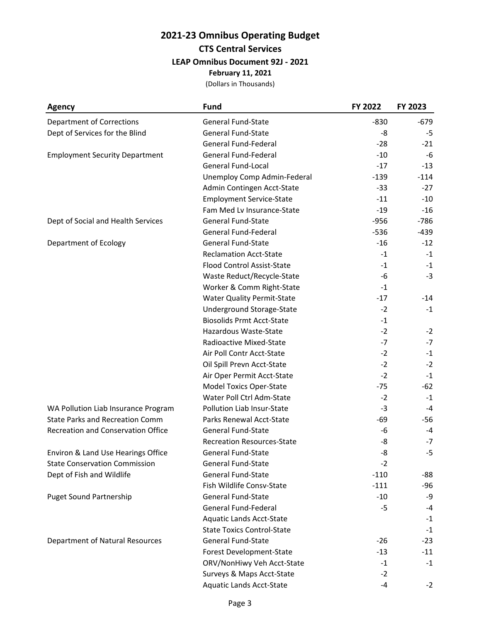| <b>Agency</b>                             | <b>Fund</b>                       | FY 2022 | FY 2023 |
|-------------------------------------------|-----------------------------------|---------|---------|
| <b>Department of Corrections</b>          | <b>General Fund-State</b>         | $-830$  | -679    |
| Dept of Services for the Blind            | General Fund-State                | -8      | -5      |
|                                           | General Fund-Federal              | $-28$   | $-21$   |
| <b>Employment Security Department</b>     | General Fund-Federal              | $-10$   | -6      |
|                                           | General Fund-Local                | $-17$   | $-13$   |
|                                           | Unemploy Comp Admin-Federal       | $-139$  | $-114$  |
|                                           | Admin Contingen Acct-State        | $-33$   | $-27$   |
|                                           | <b>Employment Service-State</b>   | $-11$   | $-10$   |
|                                           | Fam Med Lv Insurance-State        | $-19$   | $-16$   |
| Dept of Social and Health Services        | <b>General Fund-State</b>         | $-956$  | $-786$  |
|                                           | General Fund-Federal              | $-536$  | $-439$  |
| Department of Ecology                     | General Fund-State                | $-16$   | $-12$   |
|                                           | <b>Reclamation Acct-State</b>     | $-1$    | $-1$    |
|                                           | <b>Flood Control Assist-State</b> | $-1$    | $-1$    |
|                                           | Waste Reduct/Recycle-State        | -6      | $-3$    |
|                                           | Worker & Comm Right-State         | $-1$    |         |
|                                           | <b>Water Quality Permit-State</b> | $-17$   | $-14$   |
|                                           | Underground Storage-State         | $-2$    | $-1$    |
|                                           | <b>Biosolids Prmt Acct-State</b>  | $-1$    |         |
|                                           | Hazardous Waste-State             | $-2$    | $-2$    |
|                                           | Radioactive Mixed-State           | $-7$    | $-7$    |
|                                           | Air Poll Contr Acct-State         | $-2$    | $-1$    |
|                                           | Oil Spill Prevn Acct-State        | $-2$    | $-2$    |
|                                           | Air Oper Permit Acct-State        | $-2$    | $-1$    |
|                                           | <b>Model Toxics Oper-State</b>    | $-75$   | -62     |
|                                           | Water Poll Ctrl Adm-State         | $-2$    | $-1$    |
| WA Pollution Liab Insurance Program       | Pollution Liab Insur-State        | $-3$    | $-4$    |
| <b>State Parks and Recreation Comm</b>    | Parks Renewal Acct-State          | $-69$   | -56     |
| <b>Recreation and Conservation Office</b> | <b>General Fund-State</b>         | -6      | $-4$    |
|                                           | <b>Recreation Resources-State</b> | -8      | $-7$    |
| Environ & Land Use Hearings Office        | General Fund-State                | -8      | $-5$    |
| <b>State Conservation Commission</b>      | <b>General Fund-State</b>         | $-2$    |         |
| Dept of Fish and Wildlife                 | <b>General Fund-State</b>         | $-110$  | -88     |
|                                           | Fish Wildlife Consv-State         | $-111$  | $-96$   |
| <b>Puget Sound Partnership</b>            | <b>General Fund-State</b>         | $-10$   | -9      |
|                                           | General Fund-Federal              | $-5$    | $-4$    |
|                                           | <b>Aquatic Lands Acct-State</b>   |         | $-1$    |
|                                           | <b>State Toxics Control-State</b> |         | $-1$    |
| <b>Department of Natural Resources</b>    | <b>General Fund-State</b>         | $-26$   | $-23$   |
|                                           | Forest Development-State          | $-13$   | $-11$   |
|                                           | ORV/NonHiwy Veh Acct-State        | $-1$    | $-1$    |
|                                           | Surveys & Maps Acct-State         | $-2$    |         |
|                                           | <b>Aquatic Lands Acct-State</b>   | -4      | $-2$    |